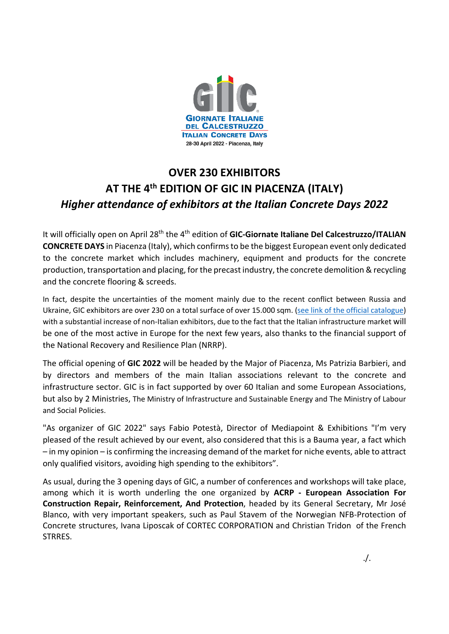

## **OVER 230 EXHIBITORS AT THE 4th EDITION OF GIC IN PIACENZA (ITALY)** *Higher attendance of exhibitors at the Italian Concrete Days 2022*

It will officially open on April 28<sup>th</sup> the 4<sup>th</sup> edition of GIC-Giornate Italiane Del Calcestruzzo/ITALIAN **CONCRETE DAYS** in Piacenza (Italy), which confirms to be the biggest European event only dedicated to the concrete market which includes machinery, equipment and products for the concrete production, transportation and placing, for the precast industry, the concrete demolition & recycling and the concrete flooring & screeds.

In fact, despite the uncertainties of the moment mainly due to the recent conflict between Russia and Ukraine, GIC exhibitors are over 230 on a total surface of over 15.000 sqm. [\(see link of the official catalogue\)](https://issuu.com/info-concretenews/docs/catalogo_gic_2022_definitivo) with a substantial increase of non-Italian exhibitors, due to the fact that the Italian infrastructure market will be one of the most active in Europe for the next few years, also thanks to the financial support of the National Recovery and Resilience Plan (NRRP).

The official opening of **GIC 2022** will be headed by the Major of Piacenza, Ms Patrizia Barbieri, and by directors and members of the main Italian associations relevant to the concrete and infrastructure sector. GIC is in fact supported by over 60 Italian and some European Associations, but also by 2 Ministries, The Ministry of Infrastructure and Sustainable Energy and The Ministry of Labour and Social Policies.

"As organizer of GIC 2022" says Fabio Potestà, Director of Mediapoint & Exhibitions "I'm very pleased of the result achieved by our event, also considered that this is a Bauma year, a fact which – in my opinion – is confirming the increasing demand of the market for niche events, able to attract only qualified visitors, avoiding high spending to the exhibitors".

As usual, during the 3 opening days of GIC, a number of conferences and workshops will take place, among which it is worth underling the one organized by **ACRP - European Association For Construction Repair, Reinforcement, And Protection**, headed by its General Secretary, Mr José Blanco, with very important speakers, such as Paul Stavem of the Norwegian NFB-Protection of Concrete structures, Ivana Liposcak of CORTEC CORPORATION and Christian Tridon of the French STRRES.